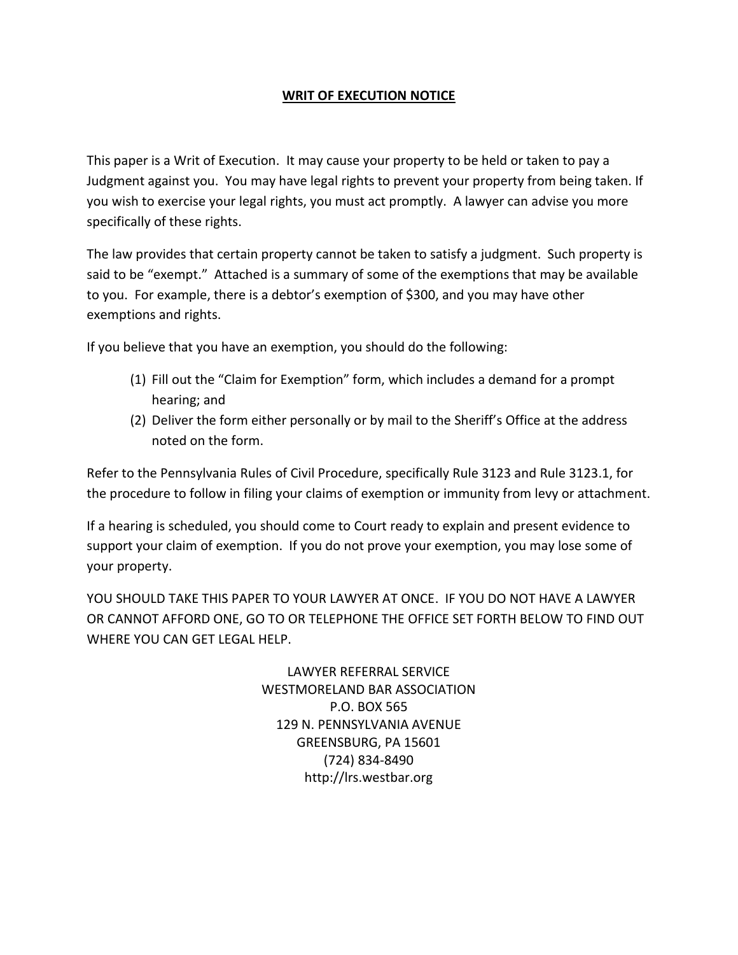## **WRIT OF EXECUTION NOTICE**

This paper is a Writ of Execution. It may cause your property to be held or taken to pay a Judgment against you. You may have legal rights to prevent your property from being taken. If you wish to exercise your legal rights, you must act promptly. A lawyer can advise you more specifically of these rights.

The law provides that certain property cannot be taken to satisfy a judgment. Such property is said to be "exempt." Attached is a summary of some of the exemptions that may be available to you. For example, there is a debtor's exemption of \$300, and you may have other exemptions and rights.

If you believe that you have an exemption, you should do the following:

- (1) Fill out the "Claim for Exemption" form, which includes a demand for a prompt hearing; and
- (2) Deliver the form either personally or by mail to the Sheriff's Office at the address noted on the form.

Refer to the Pennsylvania Rules of Civil Procedure, specifically Rule 3123 and Rule 3123.1, for the procedure to follow in filing your claims of exemption or immunity from levy or attachment.

If a hearing is scheduled, you should come to Court ready to explain and present evidence to support your claim of exemption. If you do not prove your exemption, you may lose some of your property.

YOU SHOULD TAKE THIS PAPER TO YOUR LAWYER AT ONCE. IF YOU DO NOT HAVE A LAWYER OR CANNOT AFFORD ONE, GO TO OR TELEPHONE THE OFFICE SET FORTH BELOW TO FIND OUT WHERE YOU CAN GET LEGAL HELP.

> LAWYER REFERRAL SERVICE WESTMORELAND BAR ASSOCIATION P.O. BOX 565 129 N. PENNSYLVANIA AVENUE GREENSBURG, PA 15601 (724) 834-8490 http://lrs.westbar.org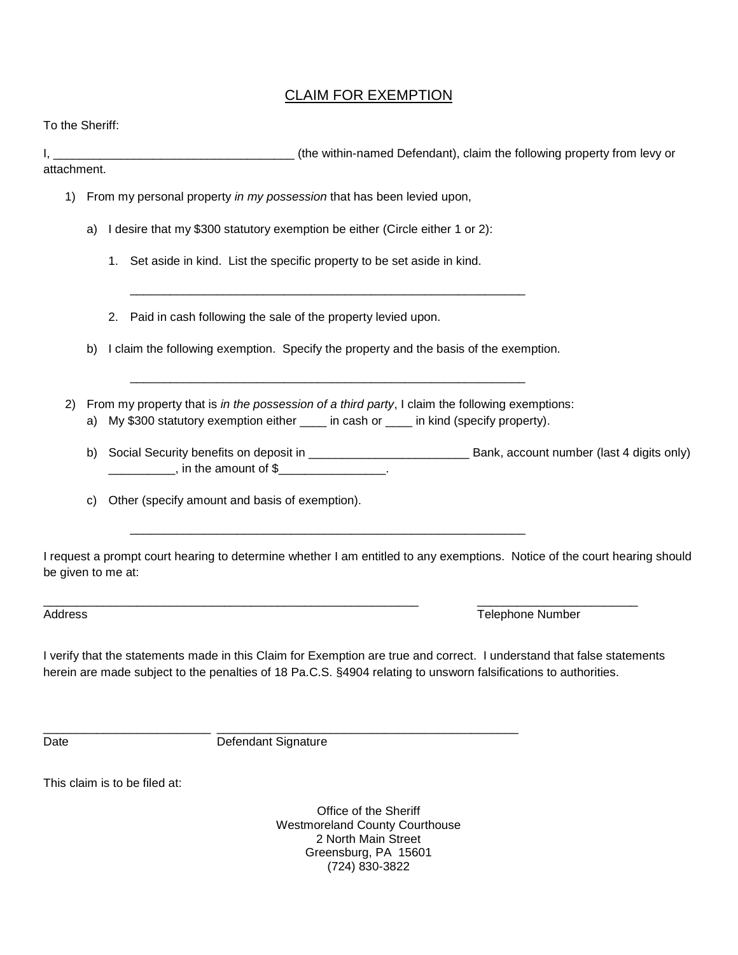## CLAIM FOR EXEMPTION

To the Sheriff:

I, \_\_\_\_\_\_\_\_\_\_\_\_\_\_\_\_\_\_\_\_\_\_\_\_\_\_\_\_\_\_\_\_\_\_\_\_ (the within-named Defendant), claim the following property from levy or

attachment.

- 1) From my personal property *in my possession* that has been levied upon,
	- a) I desire that my \$300 statutory exemption be either (Circle either 1 or 2):
		- 1. Set aside in kind. List the specific property to be set aside in kind.
		- 2. Paid in cash following the sale of the property levied upon.
	- b) I claim the following exemption. Specify the property and the basis of the exemption.

\_\_\_\_\_\_\_\_\_\_\_\_\_\_\_\_\_\_\_\_\_\_\_\_\_\_\_\_\_\_\_\_\_\_\_\_\_\_\_\_\_\_\_\_\_\_\_\_\_\_\_\_\_\_\_\_\_\_\_

2) From my property that is *in the possession of a third party*, I claim the following exemptions:

\_\_\_\_\_\_\_\_\_\_\_\_\_\_\_\_\_\_\_\_\_\_\_\_\_\_\_\_\_\_\_\_\_\_\_\_\_\_\_\_\_\_\_\_\_\_\_\_\_\_\_\_\_\_\_\_\_\_\_

\_\_\_\_\_\_\_\_\_\_\_\_\_\_\_\_\_\_\_\_\_\_\_\_\_\_\_\_\_\_\_\_\_\_\_\_\_\_\_\_\_\_\_\_\_\_\_\_\_\_\_\_\_\_\_\_\_\_\_

- a) My \$300 statutory exemption either \_\_\_\_ in cash or \_\_\_\_ in kind (specify property).
- b) Social Security benefits on deposit in \_\_\_\_\_\_\_\_\_\_\_\_\_\_\_\_\_\_\_\_\_\_\_\_ Bank, account number (last 4 digits only) \_\_\_\_\_\_\_\_\_\_\_\_\_, in the amount of \$\_\_\_\_\_\_\_\_\_\_\_\_\_\_\_\_\_.
- c) Other (specify amount and basis of exemption).

I request a prompt court hearing to determine whether I am entitled to any exemptions. Notice of the court hearing should be given to me at:

Address **Telephone Number** Address **Telephone Number Telephone Number Telephone Number** 

I verify that the statements made in this Claim for Exemption are true and correct. I understand that false statements herein are made subject to the penalties of 18 Pa.C.S. §4904 relating to unsworn falsifications to authorities.

\_\_\_\_\_\_\_\_\_\_\_\_\_\_\_\_\_\_\_\_\_\_\_\_\_\_\_\_\_\_\_\_\_\_\_\_\_\_\_\_\_\_\_\_\_\_\_\_\_\_\_\_\_\_\_\_ \_\_\_\_\_\_\_\_\_\_\_\_\_\_\_\_\_\_\_\_\_\_\_\_

\_\_\_\_\_\_\_\_\_\_\_\_\_\_\_\_\_\_\_\_\_\_\_\_\_ \_\_\_\_\_\_\_\_\_\_\_\_\_\_\_\_\_\_\_\_\_\_\_\_\_\_\_\_\_\_\_\_\_\_\_\_\_\_\_\_\_\_\_\_\_ Date Date Defendant Signature

This claim is to be filed at:

Office of the Sheriff Westmoreland County Courthouse 2 North Main Street Greensburg, PA 15601 (724) 830-3822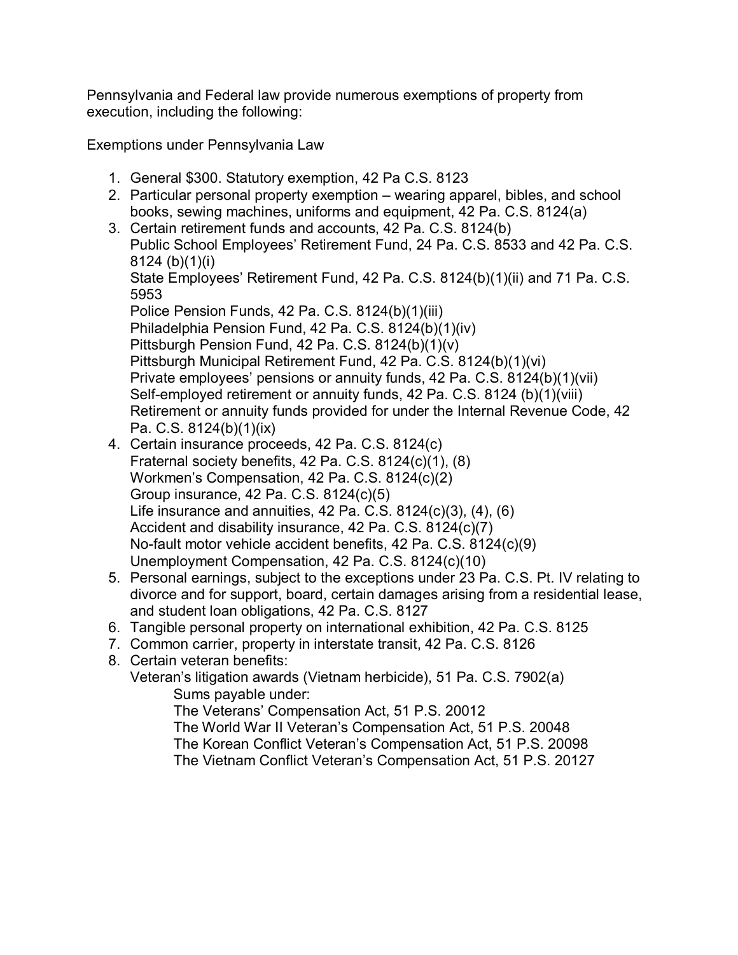Pennsylvania and Federal law provide numerous exemptions of property from execution, including the following:

Exemptions under Pennsylvania Law

- 1. General \$300. Statutory exemption, 42 Pa C.S. 8123
- 2. Particular personal property exemption wearing apparel, bibles, and school books, sewing machines, uniforms and equipment, 42 Pa. C.S. 8124(a)
- 3. Certain retirement funds and accounts, 42 Pa. C.S. 8124(b) Public School Employees' Retirement Fund, 24 Pa. C.S. 8533 and 42 Pa. C.S. 8124 (b)(1)(i) State Employees' Retirement Fund, 42 Pa. C.S. 8124(b)(1)(ii) and 71 Pa. C.S. 5953 Police Pension Funds, 42 Pa. C.S. 8124(b)(1)(iii) Philadelphia Pension Fund, 42 Pa. C.S. 8124(b)(1)(iv) Pittsburgh Pension Fund, 42 Pa. C.S. 8124(b)(1)(v) Pittsburgh Municipal Retirement Fund, 42 Pa. C.S. 8124(b)(1)(vi) Private employees' pensions or annuity funds, 42 Pa. C.S. 8124(b)(1)(vii) Self-employed retirement or annuity funds, 42 Pa. C.S. 8124 (b)(1)(viii)
	- Retirement or annuity funds provided for under the Internal Revenue Code, 42 Pa. C.S. 8124(b)(1)(ix)
- 4. Certain insurance proceeds, 42 Pa. C.S. 8124(c) Fraternal society benefits, 42 Pa. C.S. 8124(c)(1), (8) Workmenís Compensation, 42 Pa. C.S. 8124(c)(2) Group insurance, 42 Pa. C.S. 8124(c)(5) Life insurance and annuities, 42 Pa. C.S. 8124(c)(3), (4), (6) Accident and disability insurance, 42 Pa. C.S. 8124(c)(7) No-fault motor vehicle accident benefits, 42 Pa. C.S. 8124(c)(9) Unemployment Compensation, 42 Pa. C.S. 8124(c)(10)
- 5. Personal earnings, subject to the exceptions under 23 Pa. C.S. Pt. IV relating to divorce and for support, board, certain damages arising from a residential lease, and student loan obligations, 42 Pa. C.S. 8127
- 6. Tangible personal property on international exhibition, 42 Pa. C.S. 8125
- 7. Common carrier, property in interstate transit, 42 Pa. C.S. 8126

8. Certain veteran benefits: Veteranís litigation awards (Vietnam herbicide), 51 Pa. C.S. 7902(a) Sums payable under: The Veterans' Compensation Act, 51 P.S. 20012 The World War II Veteran's Compensation Act, 51 P.S. 20048 The Korean Conflict Veteranís Compensation Act, 51 P.S. 20098 The Vietnam Conflict Veteran's Compensation Act, 51 P.S. 20127